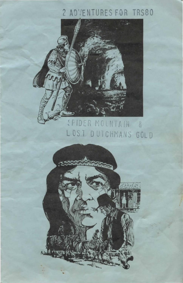## 2 ADVENTURES FOR TRS80



## SPIDER MOUNTAIN & LOST DUTCHMANS GOLD

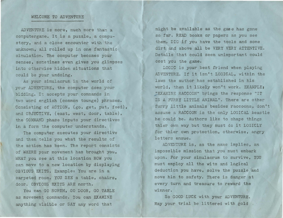## WELCOME TO ADVENTURE

ADVENTURE is more, much more than a computergame. It is a puzzle, a compustory, and a close encounter with the unknown, all rolled up in one fantastic simulation. The computer becomes your senses, sometimes even gives you glimpses into otherwise hidden situations that could be your undoing.

As your simulacrum in the world of your ADVENTURE, the computer does your bidding. It accepts your commands in two word english (common tounge) phrases. Consisting of ACTION, (go, get, put, feed), and OBJECTIVE, (east, west, door, table), the COMMAND phase inputs your directives in a form the computer understands.

The computer executes your directive and then tells you what the results of the action has been. The report consists of WHERE your movement has brought you, WHAT you see at this location HOW you can move to a new location by displaying OBVIOUS EXITS. Example: You are in a carpeted room. YOU SEE a table, chairs, door. OBVIOUS EXITS ARE north.

You can GO NORTH, GO DOOR, GO TABLE as movement commands. *¥ou* can EXAMINE anything visible or SAY any word that

might be available as the gane has gone so far. READ books or papers as you see them. DIG if you have the tools and some dirt and above all be VERY VERY ATTENTIVE. Details that could seem unimportant could cost you the game.

LOGIC is your best friend when playing ADVENTURE. If it isn't LOGICAL, within the laws the author has established in his world, then it likely won't work. EXAMPLE; "EXAMINE RACCOON" brings the response "IT IS A FURRY LITTLE ANIMAL". There are other furry little animals besides raccoons, don't assume a RACCOON is the only LOGICAL beastie he could be. Authors like to shape things thier own way but they must do it LOGICLY for thier own protection, otherwise, angry letters ensue.

ADVENTURE is, as the name implies, an impossible mission that you must embark upon. For your simulacrum to survive, YOU must employ all the wits and logical deduction you have, solve the puzzle and move him to safety. There is danger at every turn and treasure to reward the winner.

So GOOD LUCK with your ADVENTURE. May your trial be littered with gold